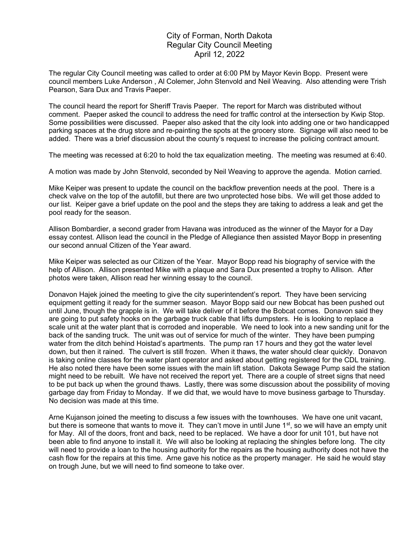## City of Forman, North Dakota Regular City Council Meeting April 12, 2022

The regular City Council meeting was called to order at 6:00 PM by Mayor Kevin Bopp. Present were council members Luke Anderson , Al Colemer, John Stenvold and Neil Weaving. Also attending were Trish Pearson, Sara Dux and Travis Paeper.

The council heard the report for Sheriff Travis Paeper. The report for March was distributed without comment. Paeper asked the council to address the need for traffic control at the intersection by Kwip Stop. Some possibilities were discussed. Paeper also asked that the city look into adding one or two handicapped parking spaces at the drug store and re-painting the spots at the grocery store. Signage will also need to be added. There was a brief discussion about the county's request to increase the policing contract amount.

The meeting was recessed at 6:20 to hold the tax equalization meeting. The meeting was resumed at 6:40.

A motion was made by John Stenvold, seconded by Neil Weaving to approve the agenda. Motion carried.

Mike Keiper was present to update the council on the backflow prevention needs at the pool. There is a check valve on the top of the autofill, but there are two unprotected hose bibs. We will get those added to our list. Keiper gave a brief update on the pool and the steps they are taking to address a leak and get the pool ready for the season.

Allison Bombardier, a second grader from Havana was introduced as the winner of the Mayor for a Day essay contest. Allison lead the council in the Pledge of Allegiance then assisted Mayor Bopp in presenting our second annual Citizen of the Year award.

Mike Keiper was selected as our Citizen of the Year. Mayor Bopp read his biography of service with the help of Allison. Allison presented Mike with a plaque and Sara Dux presented a trophy to Allison. After photos were taken, Allison read her winning essay to the council.

Donavon Hajek joined the meeting to give the city superintendent's report. They have been servicing equipment getting it ready for the summer season. Mayor Bopp said our new Bobcat has been pushed out until June, though the grapple is in. We will take deliver of it before the Bobcat comes. Donavon said they are going to put safety hooks on the garbage truck cable that lifts dumpsters. He is looking to replace a scale unit at the water plant that is corroded and inoperable. We need to look into a new sanding unit for the back of the sanding truck. The unit was out of service for much of the winter. They have been pumping water from the ditch behind Hoistad's apartments. The pump ran 17 hours and they got the water level down, but then it rained. The culvert is still frozen. When it thaws, the water should clear quickly. Donavon is taking online classes for the water plant operator and asked about getting registered for the CDL training. He also noted there have been some issues with the main lift station. Dakota Sewage Pump said the station might need to be rebuilt. We have not received the report yet. There are a couple of street signs that need to be put back up when the ground thaws. Lastly, there was some discussion about the possibility of moving garbage day from Friday to Monday. If we did that, we would have to move business garbage to Thursday. No decision was made at this time.

Arne Kujanson joined the meeting to discuss a few issues with the townhouses. We have one unit vacant, but there is someone that wants to move it. They can't move in until June 1<sup>st</sup>, so we will have an empty unit for May. All of the doors, front and back, need to be replaced. We have a door for unit 101, but have not been able to find anyone to install it. We will also be looking at replacing the shingles before long. The city will need to provide a loan to the housing authority for the repairs as the housing authority does not have the cash flow for the repairs at this time. Arne gave his notice as the property manager. He said he would stay on trough June, but we will need to find someone to take over.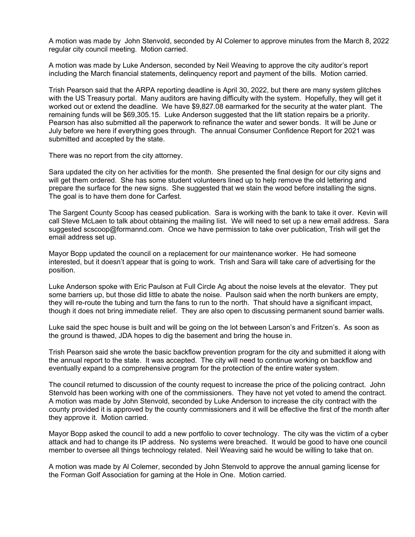A motion was made by John Stenvold, seconded by Al Colemer to approve minutes from the March 8, 2022 regular city council meeting. Motion carried.

A motion was made by Luke Anderson, seconded by Neil Weaving to approve the city auditor's report including the March financial statements, delinquency report and payment of the bills. Motion carried.

Trish Pearson said that the ARPA reporting deadline is April 30, 2022, but there are many system glitches with the US Treasury portal. Many auditors are having difficulty with the system. Hopefully, they will get it worked out or extend the deadline. We have \$9,827.08 earmarked for the security at the water plant. The remaining funds will be \$69,305.15. Luke Anderson suggested that the lift station repairs be a priority. Pearson has also submitted all the paperwork to refinance the water and sewer bonds. It will be June or July before we here if everything goes through. The annual Consumer Confidence Report for 2021 was submitted and accepted by the state.

There was no report from the city attorney.

Sara updated the city on her activities for the month. She presented the final design for our city signs and will get them ordered. She has some student volunteers lined up to help remove the old lettering and prepare the surface for the new signs. She suggested that we stain the wood before installing the signs. The goal is to have them done for Carfest.

The Sargent County Scoop has ceased publication. Sara is working with the bank to take it over. Kevin will call Steve McLaen to talk about obtaining the mailing list. We will need to set up a new email address. Sara suggested scscoop@formannd.com. Once we have permission to take over publication, Trish will get the email address set up.

Mayor Bopp updated the council on a replacement for our maintenance worker. He had someone interested, but it doesn't appear that is going to work. Trish and Sara will take care of advertising for the position.

Luke Anderson spoke with Eric Paulson at Full Circle Ag about the noise levels at the elevator. They put some barriers up, but those did little to abate the noise. Paulson said when the north bunkers are empty, they will re-route the tubing and turn the fans to run to the north. That should have a significant impact, though it does not bring immediate relief. They are also open to discussing permanent sound barrier walls.

Luke said the spec house is built and will be going on the lot between Larson's and Fritzen's. As soon as the ground is thawed, JDA hopes to dig the basement and bring the house in.

Trish Pearson said she wrote the basic backflow prevention program for the city and submitted it along with the annual report to the state. It was accepted. The city will need to continue working on backflow and eventually expand to a comprehensive program for the protection of the entire water system.

The council returned to discussion of the county request to increase the price of the policing contract. John Stenvold has been working with one of the commissioners. They have not yet voted to amend the contract. A motion was made by John Stenvold, seconded by Luke Anderson to increase the city contract with the county provided it is approved by the county commissioners and it will be effective the first of the month after they approve it. Motion carried.

Mayor Bopp asked the council to add a new portfolio to cover technology. The city was the victim of a cyber attack and had to change its IP address. No systems were breached. It would be good to have one council member to oversee all things technology related. Neil Weaving said he would be willing to take that on.

A motion was made by Al Colemer, seconded by John Stenvold to approve the annual gaming license for the Forman Golf Association for gaming at the Hole in One. Motion carried.